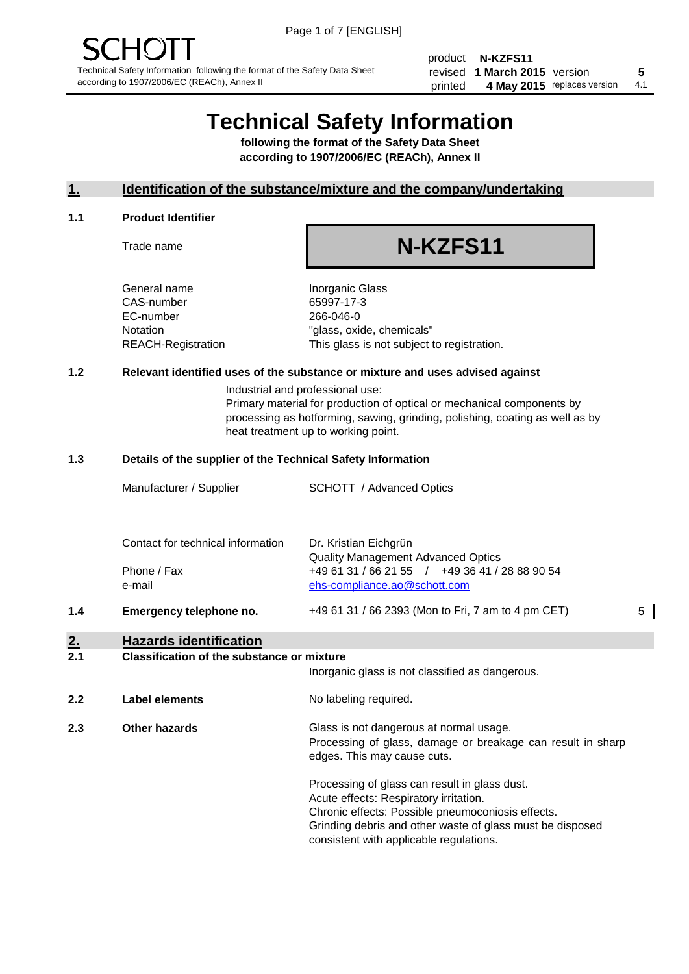product **N-KZFS11** revised **5 1 March 2015** version printed 4 May 2015 replaces version 4.1

## **Technical Safety Information**

**following the format of the Safety Data Sheet according to 1907/2006/EC (REACh), Annex II**

#### **1. Identification of the substance/mixture and the company/undertaking**

#### **1.1 Product Identifier**

Trade name

# **N-KZFS11**

General name **Inorganic Glass** CAS-number 65997-17-3 EC-number 266-046-0

Notation "glass, oxide, chemicals" REACH-Registration This glass is not subject to registration.

#### **1.2 Relevant identified uses of the substance or mixture and uses advised against**

Industrial and professional use: Primary material for production of optical or mechanical components by processing as hotforming, sawing, grinding, polishing, coating as well as by heat treatment up to working point.

#### **1.3 Details of the supplier of the Technical Safety Information**

|     | Manufacturer / Supplier           | <b>SCHOTT</b> / Advanced Optics                                                |   |
|-----|-----------------------------------|--------------------------------------------------------------------------------|---|
|     | Contact for technical information | Dr. Kristian Eichgrün<br><b>Quality Management Advanced Optics</b>             |   |
|     | Phone / Fax<br>e-mail             | +49 61 31 / 66 21 55 / +49 36 41 / 28 88 90 54<br>ehs-compliance.ao@schott.com |   |
| 1.4 | Emergency telephone no.           | +49 61 31 / 66 2393 (Mon to Fri, 7 am to 4 pm CET)                             | 5 |

## **2. Hazards identification**

#### **2.1 Classification of the substance or mixture**

|     |                      | Inorganic glass is not classified as dangerous.                                                                                                                                                                                                      |
|-----|----------------------|------------------------------------------------------------------------------------------------------------------------------------------------------------------------------------------------------------------------------------------------------|
| 2.2 | Label elements       | No labeling required.                                                                                                                                                                                                                                |
| 2.3 | <b>Other hazards</b> | Glass is not dangerous at normal usage.<br>Processing of glass, damage or breakage can result in sharp<br>edges. This may cause cuts.                                                                                                                |
|     |                      | Processing of glass can result in glass dust.<br>Acute effects: Respiratory irritation.<br>Chronic effects: Possible pneumoconiosis effects.<br>Grinding debris and other waste of glass must be disposed<br>consistent with applicable regulations. |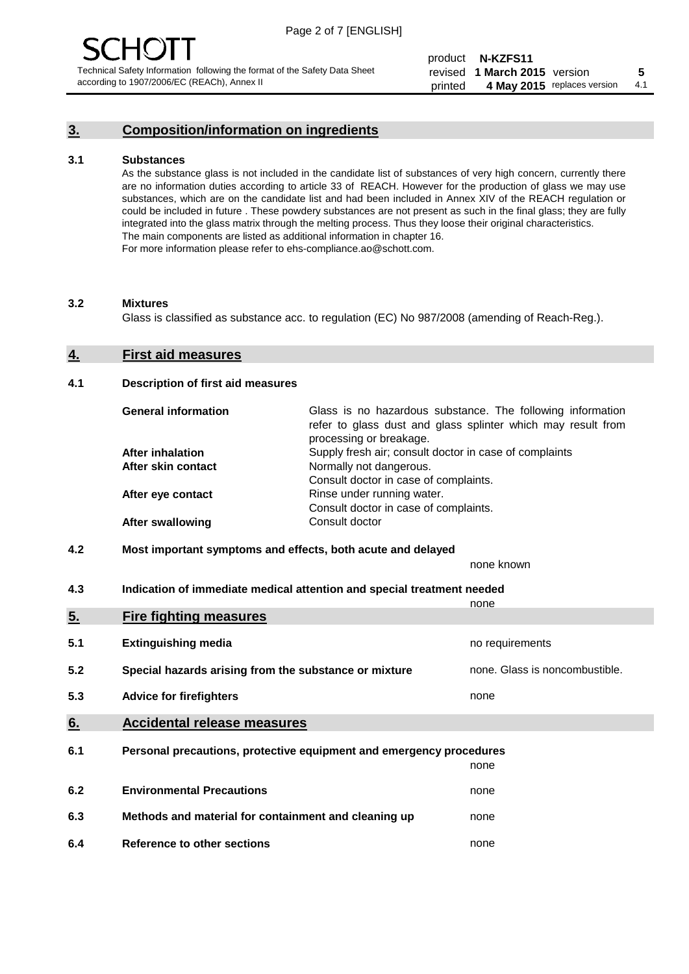### **3. Composition/information on ingredients**

#### **3.1 Substances**

As the substance glass is not included in the candidate list of substances of very high concern, currently there are no information duties according to article 33 of REACH. However for the production of glass we may use substances, which are on the candidate list and had been included in Annex XIV of the REACH regulation or could be included in future . These powdery substances are not present as such in the final glass; they are fully integrated into the glass matrix through the melting process. Thus they loose their original characteristics. The main components are listed as additional information in chapter 16. For more information please refer to ehs-compliance.ao@schott.com.

#### **3.2 Mixtures**

Glass is classified as substance acc. to regulation (EC) No 987/2008 (amending of Reach-Reg.).

#### **4. First aid measures**

#### **4.1 Description of first aid measures**

| <b>General information</b> | Glass is no hazardous substance. The following information<br>refer to glass dust and glass splinter which may result from<br>processing or breakage. |
|----------------------------|-------------------------------------------------------------------------------------------------------------------------------------------------------|
| After inhalation           | Supply fresh air; consult doctor in case of complaints                                                                                                |
| After skin contact         | Normally not dangerous.                                                                                                                               |
|                            | Consult doctor in case of complaints.                                                                                                                 |
| After eye contact          | Rinse under running water.                                                                                                                            |
|                            | Consult doctor in case of complaints.                                                                                                                 |
| <b>After swallowing</b>    | Consult doctor                                                                                                                                        |

#### **4.2 Most important symptoms and effects, both acute and delayed**

none known

**4.3 Indication of immediate medical attention and special treatment needed** 

|     |                                                                     | none                           |
|-----|---------------------------------------------------------------------|--------------------------------|
| 5.  | <b>Fire fighting measures</b>                                       |                                |
| 5.1 | <b>Extinguishing media</b>                                          | no requirements                |
| 5.2 | Special hazards arising from the substance or mixture               | none. Glass is noncombustible. |
| 5.3 | <b>Advice for firefighters</b>                                      | none                           |
| 6.  | <b>Accidental release measures</b>                                  |                                |
| 6.1 | Personal precautions, protective equipment and emergency procedures |                                |
|     |                                                                     | none                           |
| 6.2 | <b>Environmental Precautions</b>                                    | none                           |
| 6.3 | Methods and material for containment and cleaning up                | none                           |
| 6.4 | Reference to other sections                                         | none                           |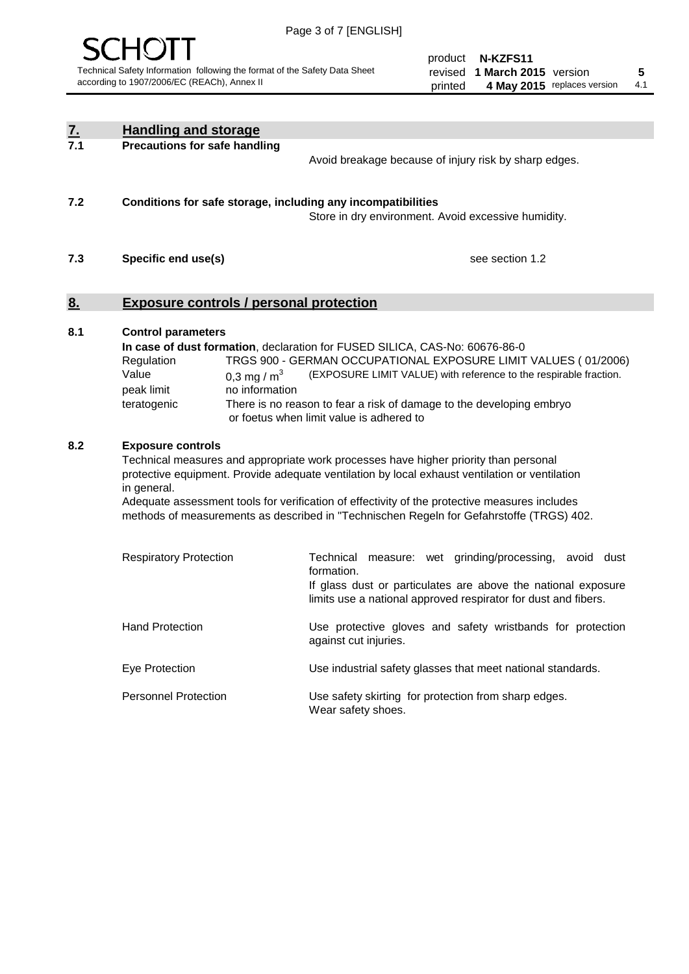

product **N-KZFS11** revised **5 1 March 2015** version printed 4 May 2015 replaces version 4.1

| $\underline{7}$ . | <b>Handling and storage</b>                                                                                                                                                                                                                                                                                                                                                                                                    |                                                                                                                                                                                                                                                                                                                                        |  |
|-------------------|--------------------------------------------------------------------------------------------------------------------------------------------------------------------------------------------------------------------------------------------------------------------------------------------------------------------------------------------------------------------------------------------------------------------------------|----------------------------------------------------------------------------------------------------------------------------------------------------------------------------------------------------------------------------------------------------------------------------------------------------------------------------------------|--|
| 7.1               | <b>Precautions for safe handling</b>                                                                                                                                                                                                                                                                                                                                                                                           | Avoid breakage because of injury risk by sharp edges.                                                                                                                                                                                                                                                                                  |  |
| 7.2               | Conditions for safe storage, including any incompatibilities                                                                                                                                                                                                                                                                                                                                                                   | Store in dry environment. Avoid excessive humidity.                                                                                                                                                                                                                                                                                    |  |
| 7.3               | Specific end use(s)                                                                                                                                                                                                                                                                                                                                                                                                            | see section 1.2                                                                                                                                                                                                                                                                                                                        |  |
| 8.                | <b>Exposure controls / personal protection</b>                                                                                                                                                                                                                                                                                                                                                                                 |                                                                                                                                                                                                                                                                                                                                        |  |
| 8.1               | <b>Control parameters</b><br>Regulation<br>Value<br>0.3 mg / $m^3$<br>peak limit<br>no information<br>teratogenic                                                                                                                                                                                                                                                                                                              | In case of dust formation, declaration for FUSED SILICA, CAS-No: 60676-86-0<br>TRGS 900 - GERMAN OCCUPATIONAL EXPOSURE LIMIT VALUES (01/2006)<br>(EXPOSURE LIMIT VALUE) with reference to the respirable fraction.<br>There is no reason to fear a risk of damage to the developing embryo<br>or foetus when limit value is adhered to |  |
| 8.2               | <b>Exposure controls</b><br>Technical measures and appropriate work processes have higher priority than personal<br>protective equipment. Provide adequate ventilation by local exhaust ventilation or ventilation<br>in general.<br>Adequate assessment tools for verification of effectivity of the protective measures includes<br>methods of measurements as described in "Technischen Regeln for Gefahrstoffe (TRGS) 402. |                                                                                                                                                                                                                                                                                                                                        |  |
|                   | <b>Respiratory Protection</b>                                                                                                                                                                                                                                                                                                                                                                                                  | Technical measure: wet grinding/processing, avoid dust<br>formation.<br>If glass dust or particulates are above the national exposure<br>limits use a national approved respirator for dust and fibers.                                                                                                                                |  |
|                   | <b>Hand Protection</b>                                                                                                                                                                                                                                                                                                                                                                                                         | Use protective gloves and safety wristbands for protection<br>against cut injuries.                                                                                                                                                                                                                                                    |  |
|                   | Eye Protection                                                                                                                                                                                                                                                                                                                                                                                                                 | Use industrial safety glasses that meet national standards.                                                                                                                                                                                                                                                                            |  |
|                   | <b>Personnel Protection</b>                                                                                                                                                                                                                                                                                                                                                                                                    | Use safety skirting for protection from sharp edges.<br>Wear safety shoes.                                                                                                                                                                                                                                                             |  |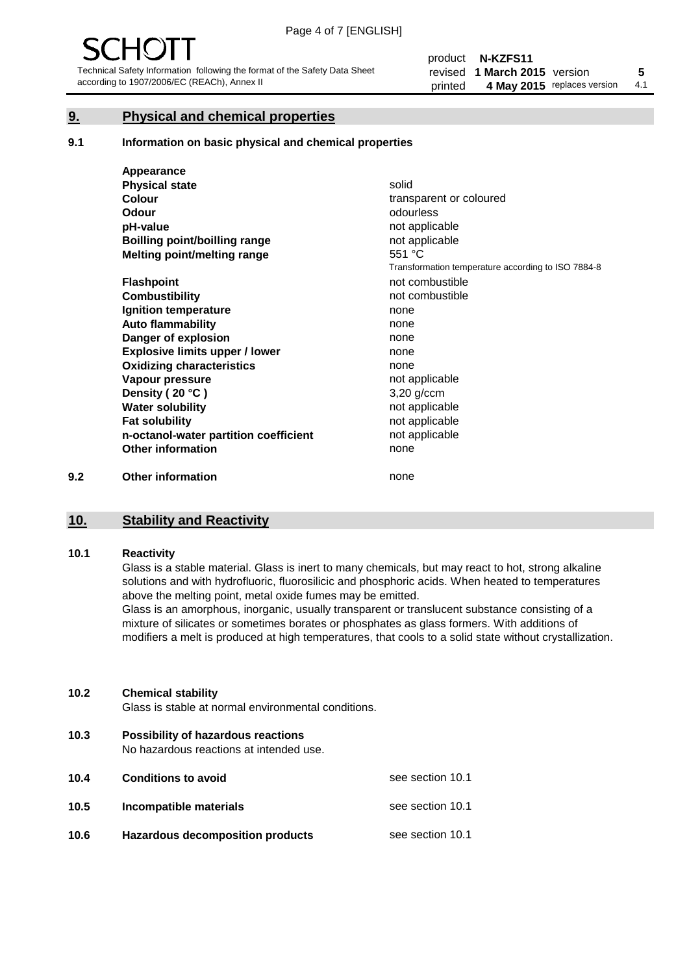#### **9. Physical and chemical properties**

#### **9.1 Information on basic physical and chemical properties**

|     | Appearance                            |                                                    |
|-----|---------------------------------------|----------------------------------------------------|
|     | <b>Physical state</b>                 | solid                                              |
|     | <b>Colour</b>                         | transparent or coloured                            |
|     | <b>Odour</b>                          | odourless                                          |
|     | pH-value                              | not applicable                                     |
|     | <b>Boilling point/boilling range</b>  | not applicable                                     |
|     | Melting point/melting range           | 551 °C                                             |
|     |                                       | Transformation temperature according to ISO 7884-8 |
|     | <b>Flashpoint</b>                     | not combustible                                    |
|     | <b>Combustibility</b>                 | not combustible                                    |
|     | Ignition temperature                  | none                                               |
|     | <b>Auto flammability</b>              | none                                               |
|     | Danger of explosion                   | none                                               |
|     | <b>Explosive limits upper / lower</b> | none                                               |
|     | <b>Oxidizing characteristics</b>      | none                                               |
|     | Vapour pressure                       | not applicable                                     |
|     | Density (20 °C)                       | $3,20$ g/ccm                                       |
|     | <b>Water solubility</b>               | not applicable                                     |
|     | <b>Fat solubility</b>                 | not applicable                                     |
|     | n-octanol-water partition coefficient | not applicable                                     |
|     | <b>Other information</b>              | none                                               |
| 9.2 | <b>Other information</b>              | none                                               |

### **10. Stability and Reactivity**

#### **10.1 Reactivity**

Glass is a stable material. Glass is inert to many chemicals, but may react to hot, strong alkaline solutions and with hydrofluoric, fluorosilicic and phosphoric acids. When heated to temperatures above the melting point, metal oxide fumes may be emitted.

Glass is an amorphous, inorganic, usually transparent or translucent substance consisting of a mixture of silicates or sometimes borates or phosphates as glass formers. With additions of modifiers a melt is produced at high temperatures, that cools to a solid state without crystallization.

#### **10.2 Chemical stability**

Glass is stable at normal environmental conditions.

**10.3 Possibility of hazardous reactions** 

No hazardous reactions at intended use.

| 10.4 | <b>Conditions to avoid</b>              | see section 10.1 |
|------|-----------------------------------------|------------------|
| 10.5 | Incompatible materials                  | see section 10.1 |
| 10.6 | <b>Hazardous decomposition products</b> | see section 10.1 |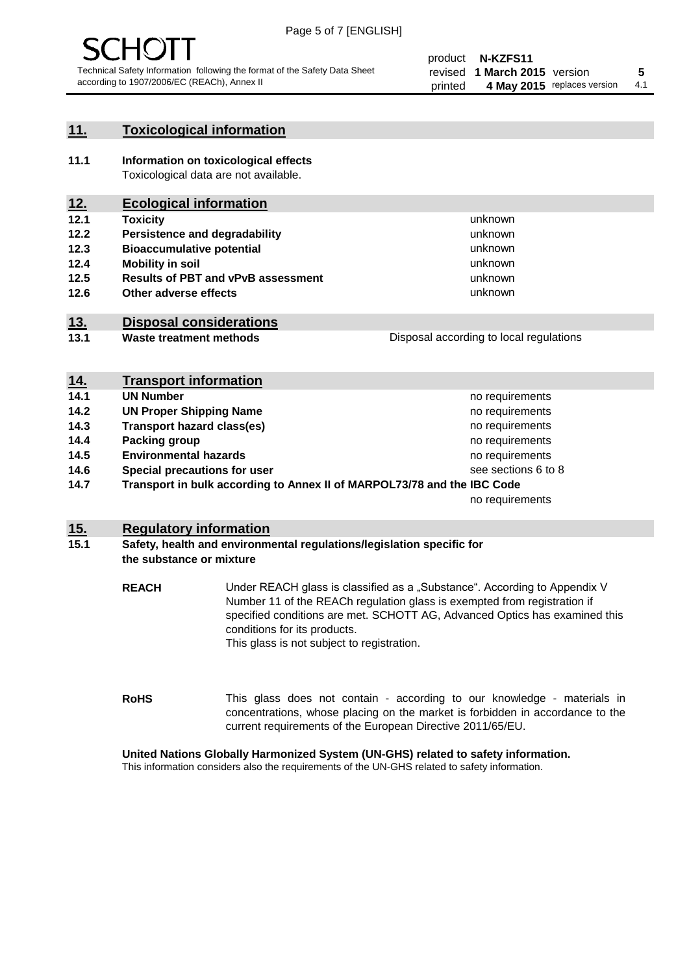

#### **11. Toxicological information**

**11.1 Information on toxicological effects** Toxicological data are not available.

### **12. Ecological information**

- **12.1 Toxicity**
- **12.2 Persistence and degradability**
- **12.3 Bioaccumulative potential**
- **12.4 Mobility in soil**
- **12.5 Results of PBT and vPvB assessment**
- **12.6 Other adverse effects**

#### **13. Disposal considerations**

**13.1 Waste treatment methods**

Disposal according to local regulations

unknown unknown unknown unknown

unknown unknown

| <u>14.</u> | <b>Transport information</b>                                            |                     |
|------------|-------------------------------------------------------------------------|---------------------|
| 14.1       | <b>UN Number</b>                                                        | no requirements     |
| 14.2       | <b>UN Proper Shipping Name</b>                                          | no requirements     |
| 14.3       | <b>Transport hazard class(es)</b>                                       | no requirements     |
| 14.4       | Packing group                                                           | no requirements     |
| 14.5       | <b>Environmental hazards</b>                                            | no requirements     |
| 14.6       | Special precautions for user                                            | see sections 6 to 8 |
| 14.7       | Transport in bulk according to Annex II of MARPOL73/78 and the IBC Code |                     |
|            |                                                                         | no requirements     |

#### **15. Regulatory information**

#### **15.1 Safety, health and environmental regulations/legislation specific for the substance or mixture**

**REACH** Under REACH glass is classified as a "Substance". According to Appendix V Number 11 of the REACh regulation glass is exempted from registration if specified conditions are met. SCHOTT AG, Advanced Optics has examined this conditions for its products. This glass is not subject to registration.

**RoHS** This glass does not contain - according to our knowledge - materials in concentrations, whose placing on the market is forbidden in accordance to the current requirements of the European Directive 2011/65/EU.

#### **United Nations Globally Harmonized System (UN-GHS) related to safety information.**

This information considers also the requirements of the UN-GHS related to safety information.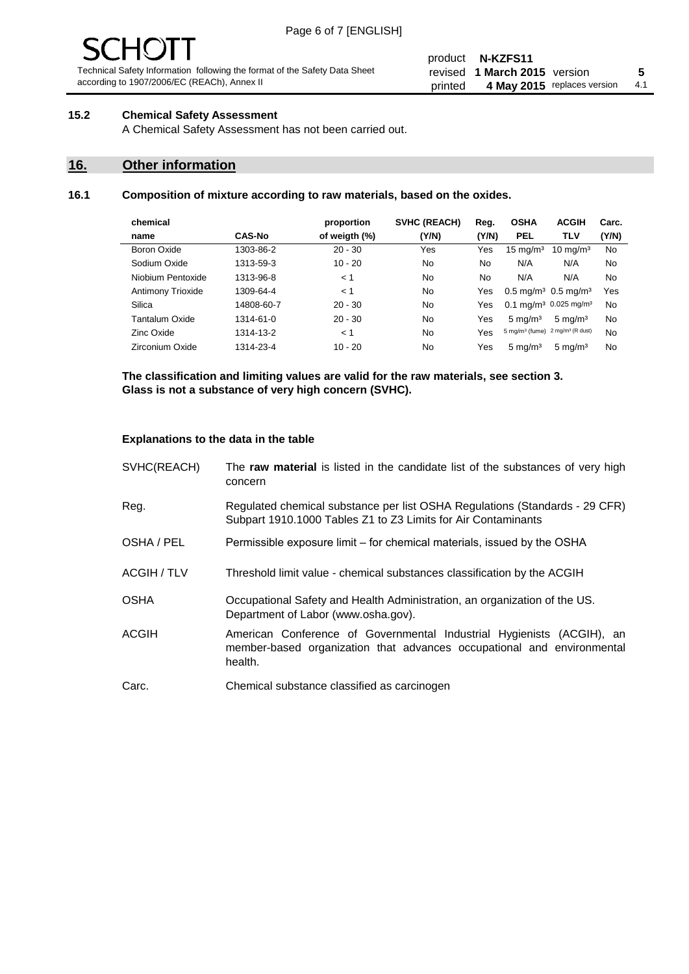# $\bf{10}$

Technical Safety Information following the format of the Safety Data Sheet according to 1907/2006/EC (REACh), Annex II

#### product **N-KZFS11** revised **5 1 March 2015** version printed 4 May 2015 replaces version 4.1

#### **15.2 Chemical Safety Assessment**

A Chemical Safety Assessment has not been carried out.

#### **16. Other information**

#### **16.1 Composition of mixture according to raw materials, based on the oxides.**

| chemical          |               | proportion    | <b>SVHC (REACH)</b> | Reg.  | <b>OSHA</b>                                   | <b>ACGIH</b>                 | Carc. |
|-------------------|---------------|---------------|---------------------|-------|-----------------------------------------------|------------------------------|-------|
| name              | <b>CAS-No</b> | of weigth (%) | (Y/N)               | (Y/N) | <b>PEL</b>                                    | TLV                          | (Y/N) |
| Boron Oxide       | 1303-86-2     | $20 - 30$     | Yes                 | Yes   | $15 \text{ mg/m}^3$                           | $10 \text{ mg/m}^3$          | No    |
| Sodium Oxide      | 1313-59-3     | $10 - 20$     | No                  | No    | N/A                                           | N/A                          | No    |
| Niobium Pentoxide | 1313-96-8     | < 1           | No                  | No    | N/A                                           | N/A                          | No    |
| Antimony Trioxide | 1309-64-4     | < 1           | No                  | Yes   | $0.5 \,\mathrm{mq/m^3}$ 0.5 mg/m <sup>3</sup> |                              | Yes   |
| Silica            | 14808-60-7    | $20 - 30$     | No.                 | Yes   | 0.1 mg/m <sup>3</sup> 0.025 mg/m <sup>3</sup> |                              | No    |
| Tantalum Oxide    | 1314-61-0     | $20 - 30$     | No.                 | Yes   | $5 \text{ mg/m}^3$                            | $5 \text{ mg/m}^3$           | No    |
| Zinc Oxide        | 1314-13-2     | < 1           | No                  | Yes   | $5 \text{ mg/m}^3$ (fume)                     | 2 mg/m <sup>3</sup> (R dust) | No    |
| Zirconium Oxide   | 1314-23-4     | $10 - 20$     | No                  | Yes   | $5 \text{ mg/m}^3$                            | $5 \text{ mg/m}^3$           | No    |
|                   |               |               |                     |       |                                               |                              |       |

**The classification and limiting values are valid for the raw materials, see section 3. Glass is not a substance of very high concern (SVHC).**

#### **Explanations to the data in the table**

| SVHC(REACH)        | The raw material is listed in the candidate list of the substances of very high<br>concern                                                                 |
|--------------------|------------------------------------------------------------------------------------------------------------------------------------------------------------|
| Reg.               | Regulated chemical substance per list OSHA Regulations (Standards - 29 CFR)<br>Subpart 1910.1000 Tables Z1 to Z3 Limits for Air Contaminants               |
| OSHA / PEL         | Permissible exposure limit – for chemical materials, issued by the OSHA                                                                                    |
| <b>ACGIH / TLV</b> | Threshold limit value - chemical substances classification by the ACGIH                                                                                    |
| <b>OSHA</b>        | Occupational Safety and Health Administration, an organization of the US.<br>Department of Labor (www.osha.gov).                                           |
| <b>ACGIH</b>       | American Conference of Governmental Industrial Hygienists (ACGIH), an<br>member-based organization that advances occupational and environmental<br>health. |
| Carc.              | Chemical substance classified as carcinogen                                                                                                                |